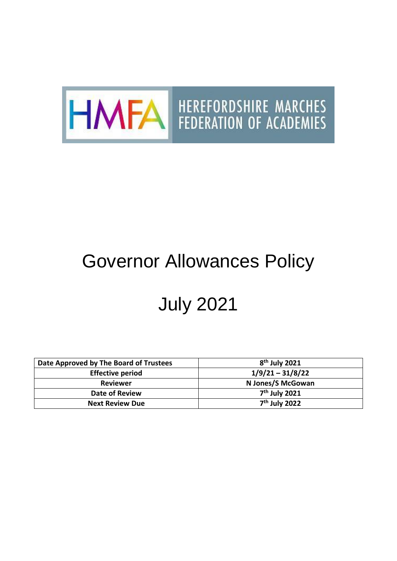

## Governor Allowances Policy

## July 2021

| Date Approved by The Board of Trustees | $8th$ July 2021    |
|----------------------------------------|--------------------|
| <b>Effective period</b>                | $1/9/21 - 31/8/22$ |
| <b>Reviewer</b>                        | N Jones/S McGowan  |
| Date of Review                         | $7th$ July 2021    |
| <b>Next Review Due</b>                 | $7th$ July 2022    |